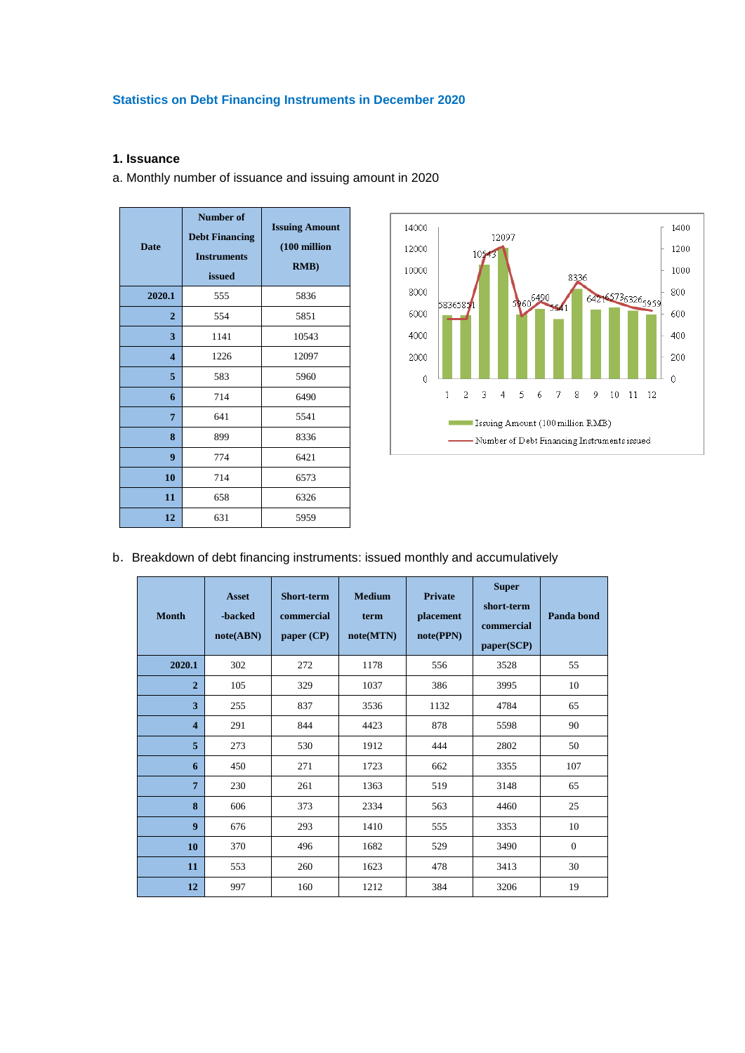# **Statistics on Debt Financing Instruments in December 2020**

### **1. Issuance**

a. Monthly number of issuance and issuing amount in 2020

| <b>Date</b>             | <b>Number of</b><br><b>Debt Financing</b><br><b>Instruments</b><br><b>issued</b> | <b>Issuing Amount</b><br>(100 million<br>RMB) |  |  |
|-------------------------|----------------------------------------------------------------------------------|-----------------------------------------------|--|--|
| 2020.1                  | 555                                                                              | 5836                                          |  |  |
| $\overline{2}$          | 554                                                                              | 5851                                          |  |  |
| 3                       | 1141                                                                             | 10543                                         |  |  |
| $\overline{\mathbf{4}}$ | 1226                                                                             | 12097                                         |  |  |
| 5                       | 583                                                                              | 5960                                          |  |  |
| 6                       | 714                                                                              | 6490                                          |  |  |
| 7                       | 641                                                                              | 5541                                          |  |  |
| 8                       | 899                                                                              | 8336                                          |  |  |
| 9                       | 774                                                                              | 6421                                          |  |  |
| 10                      | 714                                                                              | 6573                                          |  |  |
| 11                      | 658                                                                              | 6326                                          |  |  |
| 12                      | 631                                                                              | 5959                                          |  |  |



b. Breakdown of debt financing instruments: issued monthly and accumulatively

| <b>Month</b>            | <b>Asset</b><br>-backed<br>note(ABN) | Short-term<br>commercial<br>paper $(CP)$ | <b>Medium</b><br>term<br>note(MTN) | <b>Private</b><br>placement<br>note(PPN) | <b>Super</b><br>short-term<br>commercial<br>paper(SCP) | Panda bond     |
|-------------------------|--------------------------------------|------------------------------------------|------------------------------------|------------------------------------------|--------------------------------------------------------|----------------|
| 2020.1                  | 302                                  | 272                                      | 1178                               | 556                                      | 3528                                                   | 55             |
| $\overline{2}$          | 105                                  | 329                                      | 1037                               | 386                                      | 3995                                                   | 10             |
| 3                       | 255                                  | 837                                      | 3536                               | 1132                                     | 4784                                                   | 65             |
| $\overline{\mathbf{4}}$ | 291                                  | 844                                      | 4423                               | 878                                      | 5598                                                   | 90             |
| 5                       | 273                                  | 530                                      | 1912                               | 444                                      | 2802                                                   | 50             |
| 6                       | 450                                  | 271                                      | 1723                               | 662                                      | 3355                                                   | 107            |
| $\overline{7}$          | 230                                  | 261                                      | 1363                               | 519                                      | 3148                                                   | 65             |
| 8                       | 606                                  | 373                                      | 2334                               | 563                                      | 4460                                                   | 25             |
| $\boldsymbol{9}$        | 676                                  | 293                                      | 1410                               | 555                                      | 3353                                                   | 10             |
| 10                      | 370                                  | 496                                      | 1682                               | 529                                      | 3490                                                   | $\overline{0}$ |
| 11                      | 553                                  | 260                                      | 1623                               | 478                                      | 3413                                                   | 30             |
| 12                      | 997                                  | 160                                      | 1212                               | 384                                      | 3206                                                   | 19             |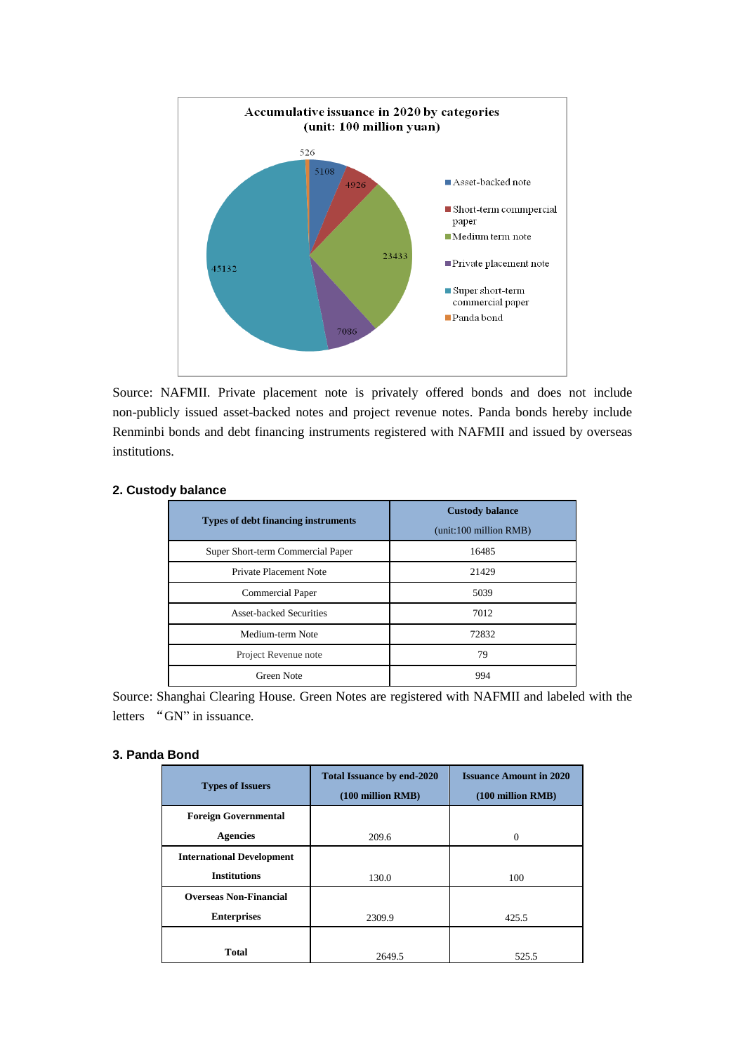

Source: NAFMII. Private placement note is privately offered bonds and does not include non-publicly issued asset-backed notes and project revenue notes. Panda bonds hereby include Renminbi bonds and debt financing instruments registered with NAFMII and issued by overseas institutions.

| <b>Types of debt financing instruments</b> | <b>Custody balance</b><br>(unit:100 million RMB) |  |  |  |
|--------------------------------------------|--------------------------------------------------|--|--|--|
| Super Short-term Commercial Paper          | 16485                                            |  |  |  |
| Private Placement Note                     | 21429                                            |  |  |  |
| <b>Commercial Paper</b>                    | 5039                                             |  |  |  |
| <b>Asset-backed Securities</b>             | 7012                                             |  |  |  |
| Medium-term Note                           | 72832                                            |  |  |  |
| Project Revenue note                       | 79                                               |  |  |  |
| Green Note                                 | 994                                              |  |  |  |

# **2. Custody balance**

Source: Shanghai Clearing House. Green Notes are registered with NAFMII and labeled with the letters "GN" in issuance.

## **3. Panda Bond**

| <b>Types of Issuers</b>          | <b>Total Issuance by end-2020</b><br>$(100$ million RMB $)$ | <b>Issuance Amount in 2020</b><br>$(100 \text{ million RMB})$ |  |  |
|----------------------------------|-------------------------------------------------------------|---------------------------------------------------------------|--|--|
| <b>Foreign Governmental</b>      |                                                             |                                                               |  |  |
| <b>Agencies</b>                  | 209.6                                                       | 0                                                             |  |  |
| <b>International Development</b> |                                                             |                                                               |  |  |
| <b>Institutions</b>              | 130.0                                                       | 100                                                           |  |  |
| <b>Overseas Non-Financial</b>    |                                                             |                                                               |  |  |
| <b>Enterprises</b>               | 2309.9                                                      | 425.5                                                         |  |  |
|                                  |                                                             |                                                               |  |  |
| <b>Total</b>                     | 2649.5                                                      | 525.5                                                         |  |  |